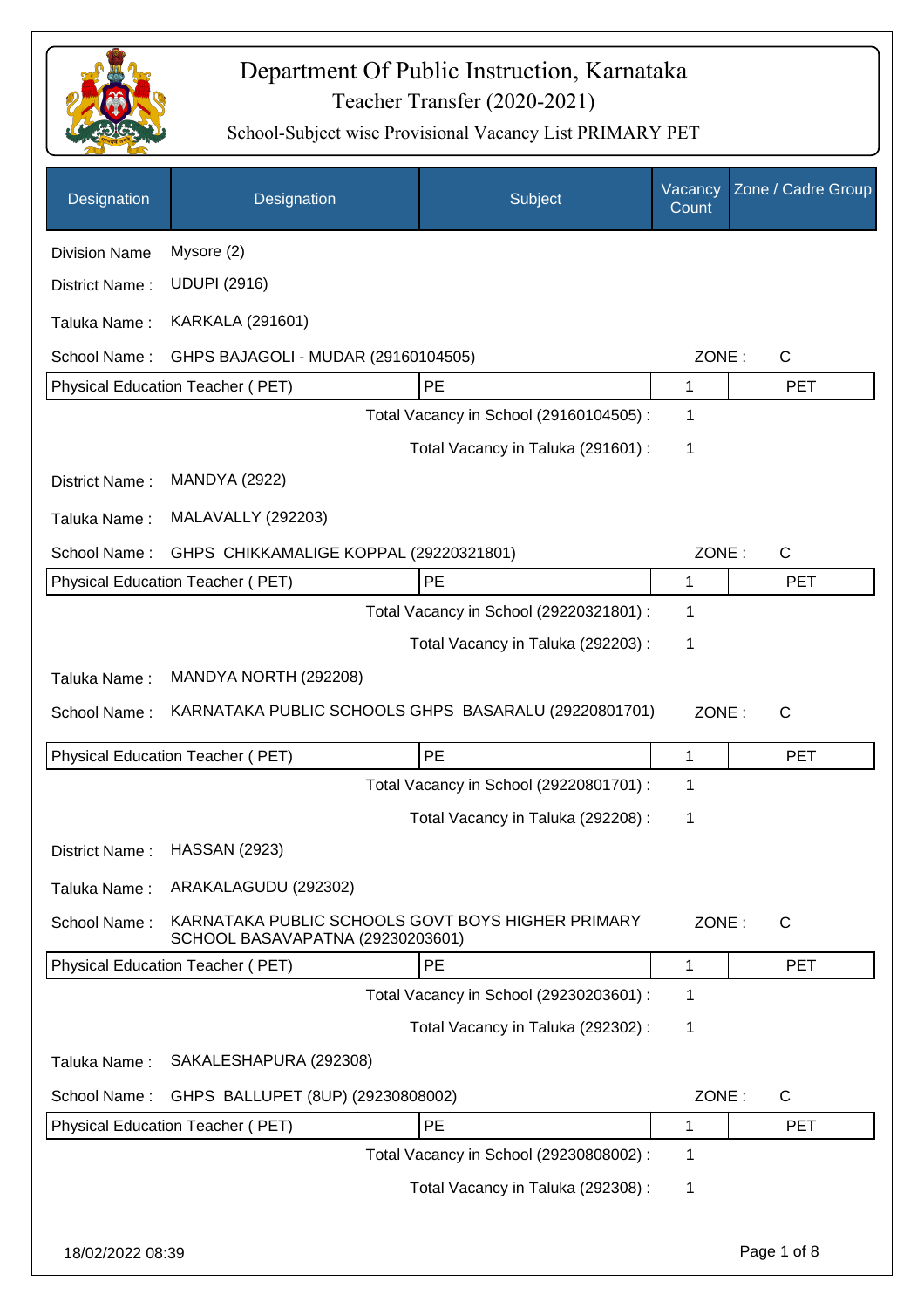

| Designation          | Designation                                                                           | Subject                                 | Vacancy<br>Count | Zone / Cadre Group |
|----------------------|---------------------------------------------------------------------------------------|-----------------------------------------|------------------|--------------------|
| <b>Division Name</b> | Mysore (2)                                                                            |                                         |                  |                    |
| District Name:       | <b>UDUPI (2916)</b>                                                                   |                                         |                  |                    |
| Taluka Name:         | <b>KARKALA (291601)</b>                                                               |                                         |                  |                    |
| School Name:         | GHPS BAJAGOLI - MUDAR (29160104505)                                                   |                                         | ZONE:            | $\mathsf C$        |
|                      | Physical Education Teacher (PET)                                                      | PE                                      | 1                | <b>PET</b>         |
|                      |                                                                                       | Total Vacancy in School (29160104505) : | 1                |                    |
|                      |                                                                                       | Total Vacancy in Taluka (291601) :      | 1                |                    |
| District Name:       | <b>MANDYA (2922)</b>                                                                  |                                         |                  |                    |
| Taluka Name:         | <b>MALAVALLY (292203)</b>                                                             |                                         |                  |                    |
| School Name:         | GHPS CHIKKAMALIGE KOPPAL (29220321801)                                                |                                         | ZONE:            | $\mathsf C$        |
|                      | Physical Education Teacher (PET)                                                      | PE                                      | 1                | <b>PET</b>         |
|                      |                                                                                       | Total Vacancy in School (29220321801) : | 1                |                    |
|                      |                                                                                       | Total Vacancy in Taluka (292203):       | 1                |                    |
| Taluka Name:         | MANDYA NORTH (292208)                                                                 |                                         |                  |                    |
| School Name:         | KARNATAKA PUBLIC SCHOOLS GHPS BASARALU (29220801701)                                  |                                         | ZONE:            | C                  |
|                      | Physical Education Teacher (PET)                                                      | PE                                      | 1                | <b>PET</b>         |
|                      |                                                                                       | Total Vacancy in School (29220801701) : | 1                |                    |
|                      |                                                                                       | Total Vacancy in Taluka (292208) :      | 1                |                    |
| District Name:       | <b>HASSAN (2923)</b>                                                                  |                                         |                  |                    |
| Taluka Name:         | ARAKALAGUDU (292302)                                                                  |                                         |                  |                    |
| School Name:         | KARNATAKA PUBLIC SCHOOLS GOVT BOYS HIGHER PRIMARY<br>SCHOOL BASAVAPATNA (29230203601) |                                         | ZONE:            | $\mathsf{C}$       |
|                      | Physical Education Teacher (PET)                                                      | PE                                      | 1                | <b>PET</b>         |
|                      |                                                                                       | Total Vacancy in School (29230203601) : | 1                |                    |
|                      |                                                                                       | Total Vacancy in Taluka (292302) :      | 1                |                    |
| Taluka Name:         | SAKALESHAPURA (292308)                                                                |                                         |                  |                    |
| School Name:         | GHPS BALLUPET (8UP) (29230808002)                                                     |                                         | ZONE:            | C                  |
|                      | Physical Education Teacher (PET)                                                      | PE                                      | 1                | <b>PET</b>         |
|                      |                                                                                       | Total Vacancy in School (29230808002) : | 1                |                    |
|                      |                                                                                       | Total Vacancy in Taluka (292308) :      | 1                |                    |
|                      |                                                                                       |                                         |                  |                    |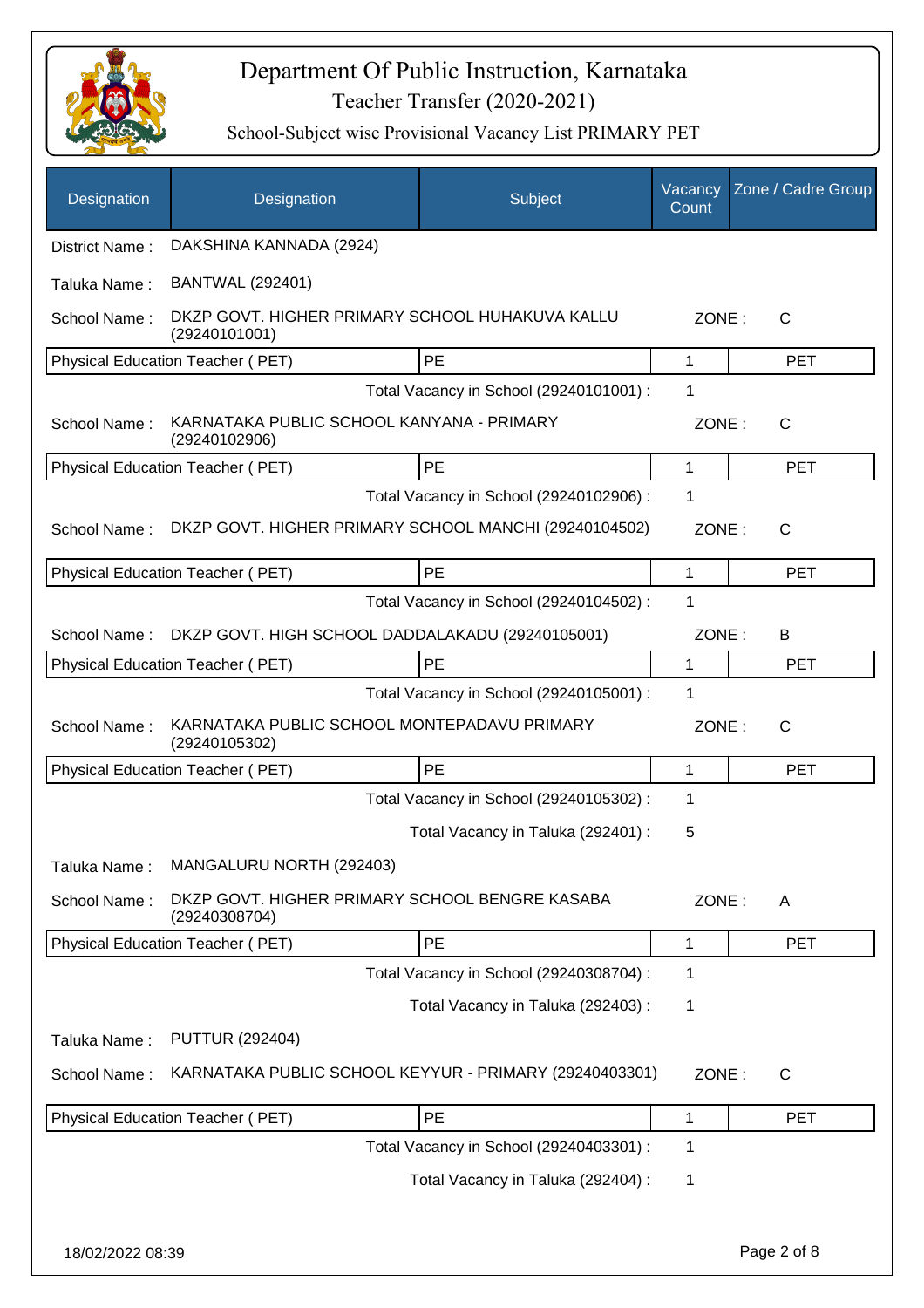

| Designation      | Designation                                                      | Subject                                 | Vacancy<br>Count | Zone / Cadre Group |
|------------------|------------------------------------------------------------------|-----------------------------------------|------------------|--------------------|
| District Name:   | DAKSHINA KANNADA (2924)                                          |                                         |                  |                    |
| Taluka Name:     | <b>BANTWAL (292401)</b>                                          |                                         |                  |                    |
| School Name:     | DKZP GOVT. HIGHER PRIMARY SCHOOL HUHAKUVA KALLU<br>(29240101001) |                                         | ZONE:            | C                  |
|                  | Physical Education Teacher (PET)                                 | <b>PE</b>                               | $\mathbf 1$      | <b>PET</b>         |
|                  |                                                                  | Total Vacancy in School (29240101001) : | 1                |                    |
| School Name:     | KARNATAKA PUBLIC SCHOOL KANYANA - PRIMARY<br>(29240102906)       |                                         | ZONE:            | $\mathsf{C}$       |
|                  | Physical Education Teacher (PET)                                 | PE                                      | 1                | <b>PET</b>         |
|                  |                                                                  | Total Vacancy in School (29240102906) : | 1                |                    |
| School Name:     | DKZP GOVT. HIGHER PRIMARY SCHOOL MANCHI (29240104502)            |                                         | ZONE:            | $\mathsf{C}$       |
|                  | Physical Education Teacher (PET)                                 | PE                                      | 1                | <b>PET</b>         |
|                  |                                                                  | Total Vacancy in School (29240104502) : | 1                |                    |
| School Name:     | DKZP GOVT. HIGH SCHOOL DADDALAKADU (29240105001)                 |                                         | ZONE:            | B                  |
|                  | Physical Education Teacher (PET)                                 | PE                                      | $\mathbf{1}$     | <b>PET</b>         |
|                  |                                                                  | Total Vacancy in School (29240105001) : | 1                |                    |
| School Name:     | KARNATAKA PUBLIC SCHOOL MONTEPADAVU PRIMARY<br>(29240105302)     |                                         | ZONE:            | $\mathsf{C}$       |
|                  | Physical Education Teacher (PET)                                 | PE                                      | 1                | <b>PET</b>         |
|                  |                                                                  | Total Vacancy in School (29240105302) : | 1                |                    |
|                  |                                                                  | Total Vacancy in Taluka (292401) :      | 5                |                    |
| Taluka Name:     | MANGALURU NORTH (292403)                                         |                                         |                  |                    |
| School Name:     | DKZP GOVT. HIGHER PRIMARY SCHOOL BENGRE KASABA<br>(29240308704)  |                                         | ZONE:            | A                  |
|                  | Physical Education Teacher (PET)                                 | PE                                      | 1                | <b>PET</b>         |
|                  |                                                                  | Total Vacancy in School (29240308704) : | 1                |                    |
|                  |                                                                  | Total Vacancy in Taluka (292403) :      | 1                |                    |
| Taluka Name:     | <b>PUTTUR (292404)</b>                                           |                                         |                  |                    |
| School Name:     | KARNATAKA PUBLIC SCHOOL KEYYUR - PRIMARY (29240403301)           |                                         | ZONE:            | C                  |
|                  | Physical Education Teacher (PET)                                 | PE                                      | 1                | <b>PET</b>         |
|                  |                                                                  | Total Vacancy in School (29240403301) : | 1                |                    |
|                  |                                                                  | Total Vacancy in Taluka (292404) :      | 1                |                    |
|                  |                                                                  |                                         |                  |                    |
| 18/02/2022 08:39 |                                                                  |                                         |                  | Page 2 of 8        |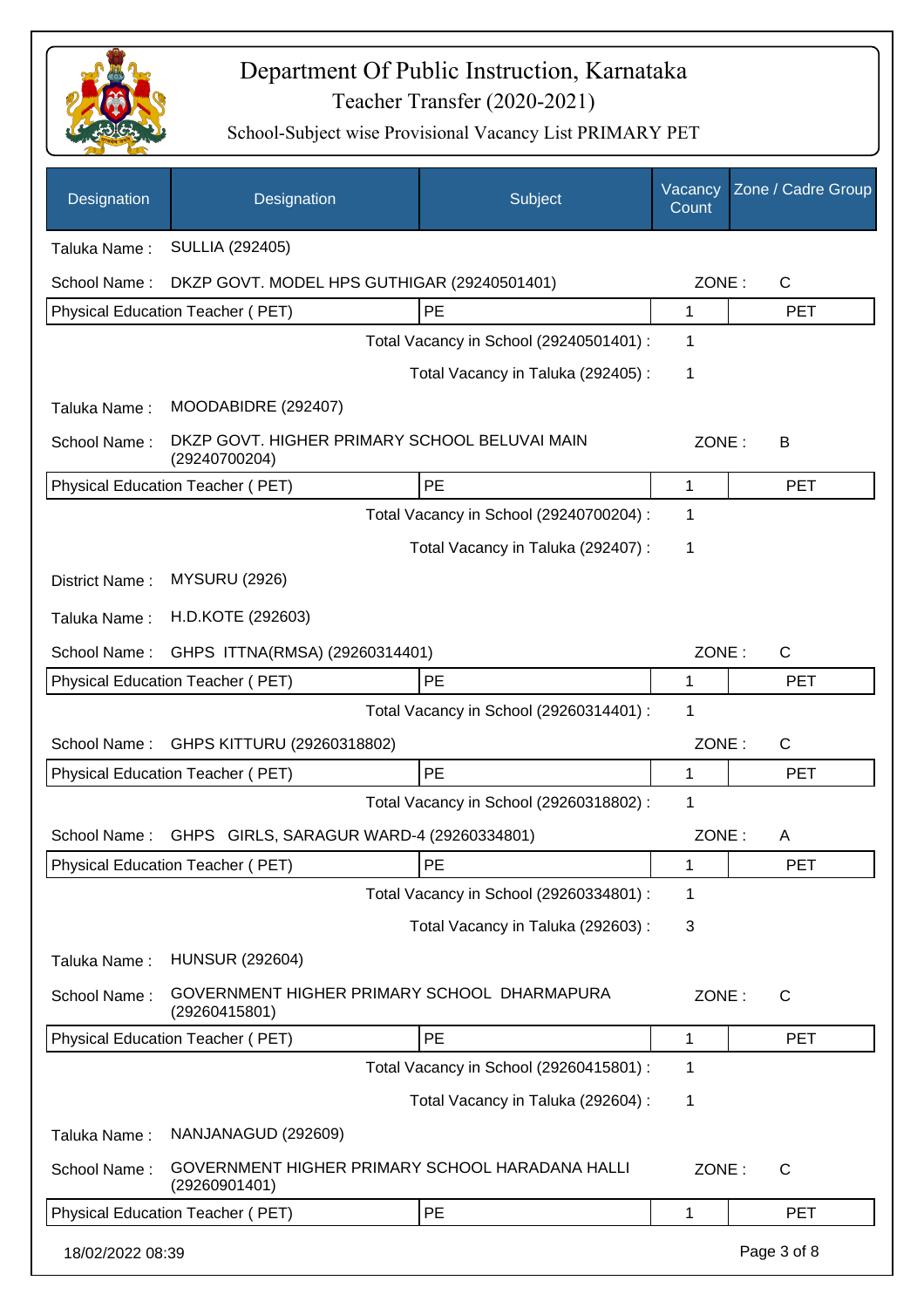

| Designation      | Designation                                                    | Subject                                         | Vacancy<br>Count | Zone / Cadre Group |
|------------------|----------------------------------------------------------------|-------------------------------------------------|------------------|--------------------|
| Taluka Name:     | <b>SULLIA (292405)</b>                                         |                                                 |                  |                    |
| School Name:     | DKZP GOVT. MODEL HPS GUTHIGAR (29240501401)                    |                                                 | ZONE:            | $\mathsf{C}$       |
|                  | Physical Education Teacher (PET)                               | PE                                              | 1                | <b>PET</b>         |
|                  |                                                                | Total Vacancy in School (29240501401) :         | 1                |                    |
|                  |                                                                | Total Vacancy in Taluka (292405):               | 1                |                    |
| Taluka Name:     | MOODABIDRE (292407)                                            |                                                 |                  |                    |
| School Name:     | DKZP GOVT. HIGHER PRIMARY SCHOOL BELUVAI MAIN<br>(29240700204) |                                                 | ZONE:            | B                  |
|                  | Physical Education Teacher (PET)                               | PE                                              | 1                | <b>PET</b>         |
|                  |                                                                | Total Vacancy in School (29240700204) :         | 1                |                    |
|                  |                                                                | Total Vacancy in Taluka (292407) :              | 1                |                    |
| District Name:   | <b>MYSURU (2926)</b>                                           |                                                 |                  |                    |
| Taluka Name:     | H.D.KOTE (292603)                                              |                                                 |                  |                    |
| School Name:     | GHPS ITTNA(RMSA) (29260314401)                                 |                                                 | ZONE:            | $\mathsf{C}$       |
|                  | Physical Education Teacher (PET)                               | PE                                              | 1                | <b>PET</b>         |
|                  |                                                                | Total Vacancy in School (29260314401) :         | 1                |                    |
| School Name:     | GHPS KITTURU (29260318802)                                     |                                                 | ZONE:            | $\mathsf{C}$       |
|                  | <b>Physical Education Teacher (PET)</b>                        | PE                                              | 1                | <b>PET</b>         |
|                  |                                                                | Total Vacancy in School (29260318802) :         | 1                |                    |
| School Name:     | GHPS GIRLS, SARAGUR WARD-4 (29260334801)                       |                                                 | ZONE:            | A                  |
|                  | Physical Education Teacher (PET)                               | PE                                              | 1                | <b>PET</b>         |
|                  |                                                                | Total Vacancy in School (29260334801) :         | 1                |                    |
|                  |                                                                | Total Vacancy in Taluka (292603) :              | 3                |                    |
| Taluka Name:     | <b>HUNSUR (292604)</b>                                         |                                                 |                  |                    |
| School Name:     | (29260415801)                                                  | GOVERNMENT HIGHER PRIMARY SCHOOL DHARMAPURA     | ZONE:            | $\mathsf{C}$       |
|                  | Physical Education Teacher (PET)                               | PE                                              | 1                | <b>PET</b>         |
|                  |                                                                | Total Vacancy in School (29260415801) :         | 1                |                    |
|                  |                                                                | Total Vacancy in Taluka (292604) :              | 1                |                    |
| Taluka Name:     | NANJANAGUD (292609)                                            |                                                 |                  |                    |
| School Name:     | (29260901401)                                                  | GOVERNMENT HIGHER PRIMARY SCHOOL HARADANA HALLI | ZONE:            | C                  |
|                  | Physical Education Teacher (PET)                               | PE                                              | 1                | <b>PET</b>         |
| 18/02/2022 08:39 |                                                                |                                                 |                  | Page 3 of 8        |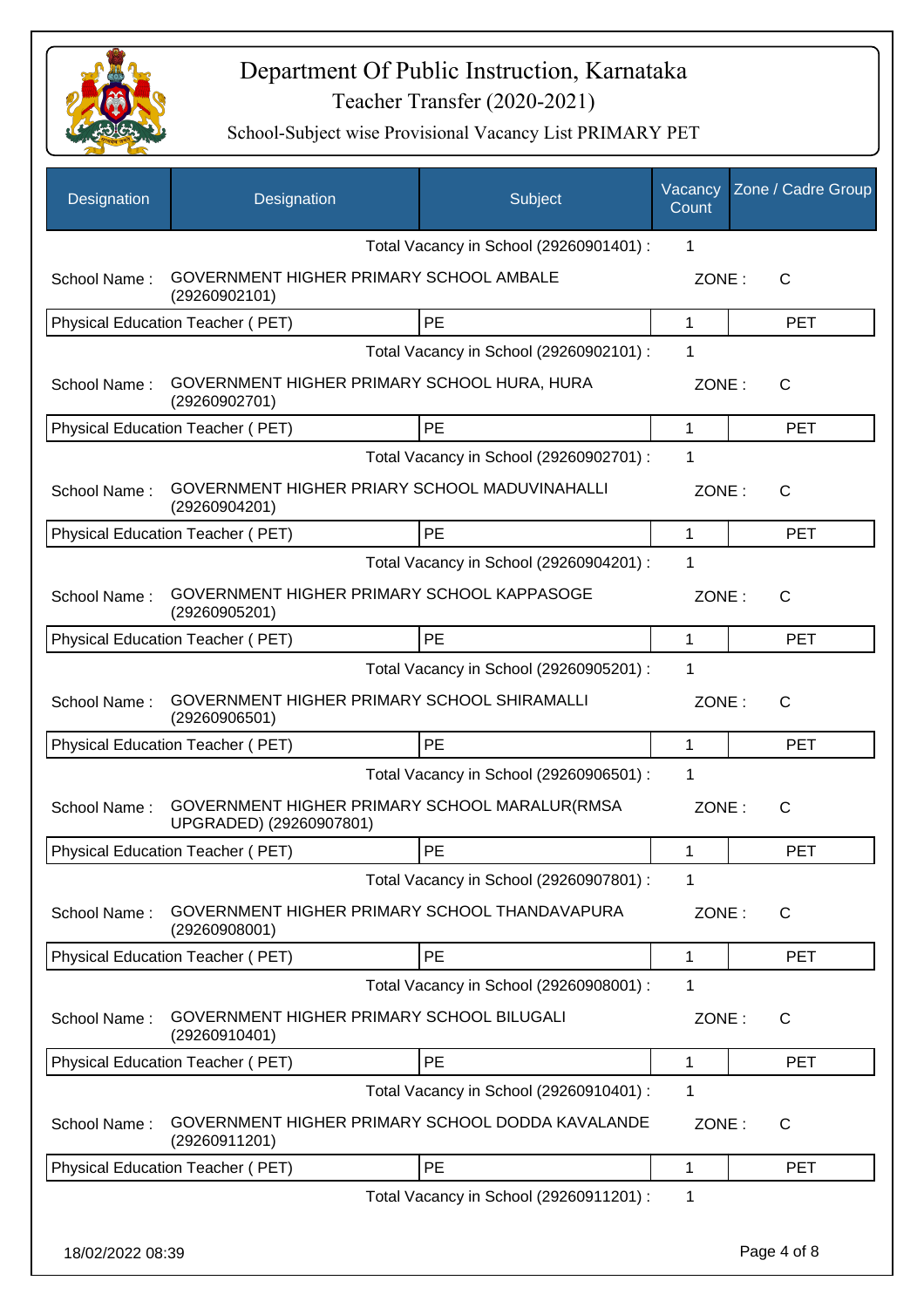

| <b>Designation</b> | Designation                                                              | Subject                                 | Vacancy<br>Count | Zone / Cadre Group |
|--------------------|--------------------------------------------------------------------------|-----------------------------------------|------------------|--------------------|
|                    |                                                                          | Total Vacancy in School (29260901401) : | 1                |                    |
| School Name:       | GOVERNMENT HIGHER PRIMARY SCHOOL AMBALE<br>(29260902101)                 |                                         | ZONE:            | C                  |
|                    | Physical Education Teacher (PET)                                         | <b>PE</b>                               | $\mathbf{1}$     | <b>PET</b>         |
|                    |                                                                          | Total Vacancy in School (29260902101) : | 1                |                    |
| School Name:       | GOVERNMENT HIGHER PRIMARY SCHOOL HURA, HURA<br>(29260902701)             |                                         | ZONE:            | $\mathsf{C}$       |
|                    | Physical Education Teacher (PET)                                         | PE                                      | $\mathbf 1$      | <b>PET</b>         |
|                    |                                                                          | Total Vacancy in School (29260902701) : | 1                |                    |
| School Name:       | GOVERNMENT HIGHER PRIARY SCHOOL MADUVINAHALLI<br>(29260904201)           |                                         | ZONE:            | C                  |
|                    | <b>Physical Education Teacher (PET)</b>                                  | <b>PE</b>                               | $\mathbf{1}$     | <b>PET</b>         |
|                    |                                                                          | Total Vacancy in School (29260904201) : | 1                |                    |
| School Name:       | GOVERNMENT HIGHER PRIMARY SCHOOL KAPPASOGE<br>(29260905201)              |                                         | ZONE:            | $\mathsf{C}$       |
|                    | Physical Education Teacher (PET)                                         | <b>PE</b>                               | $\mathbf{1}$     | <b>PET</b>         |
|                    |                                                                          | Total Vacancy in School (29260905201) : | 1                |                    |
| School Name:       | GOVERNMENT HIGHER PRIMARY SCHOOL SHIRAMALLI<br>(29260906501)             |                                         | ZONE:            | $\mathsf{C}$       |
|                    | Physical Education Teacher (PET)                                         | PE                                      | $\mathbf 1$      | <b>PET</b>         |
|                    |                                                                          | Total Vacancy in School (29260906501) : | 1                |                    |
| School Name:       | GOVERNMENT HIGHER PRIMARY SCHOOL MARALUR(RMSA<br>UPGRADED) (29260907801) |                                         | ZONE:            | $\mathsf{C}$       |
|                    | Physical Education Teacher (PET)                                         | PE                                      | 1                | <b>PET</b>         |
|                    |                                                                          | Total Vacancy in School (29260907801) : | 1                |                    |
| School Name:       | GOVERNMENT HIGHER PRIMARY SCHOOL THANDAVAPURA<br>(29260908001)           |                                         | ZONE:            | C                  |
|                    | Physical Education Teacher (PET)                                         | PE                                      | $\mathbf 1$      | <b>PET</b>         |
|                    |                                                                          | Total Vacancy in School (29260908001) : | 1                |                    |
| School Name:       | GOVERNMENT HIGHER PRIMARY SCHOOL BILUGALI<br>(29260910401)               |                                         | ZONE:            | $\mathsf{C}$       |
|                    | Physical Education Teacher (PET)                                         | PE                                      | $\mathbf 1$      | <b>PET</b>         |
|                    |                                                                          | Total Vacancy in School (29260910401) : | 1                |                    |
| School Name:       | GOVERNMENT HIGHER PRIMARY SCHOOL DODDA KAVALANDE<br>(29260911201)        |                                         | ZONE:            | $\mathsf{C}$       |
|                    | Physical Education Teacher (PET)                                         | PE                                      | 1                | <b>PET</b>         |
|                    |                                                                          | Total Vacancy in School (29260911201) : | 1                |                    |
| 18/02/2022 08:39   |                                                                          |                                         |                  | Page 4 of 8        |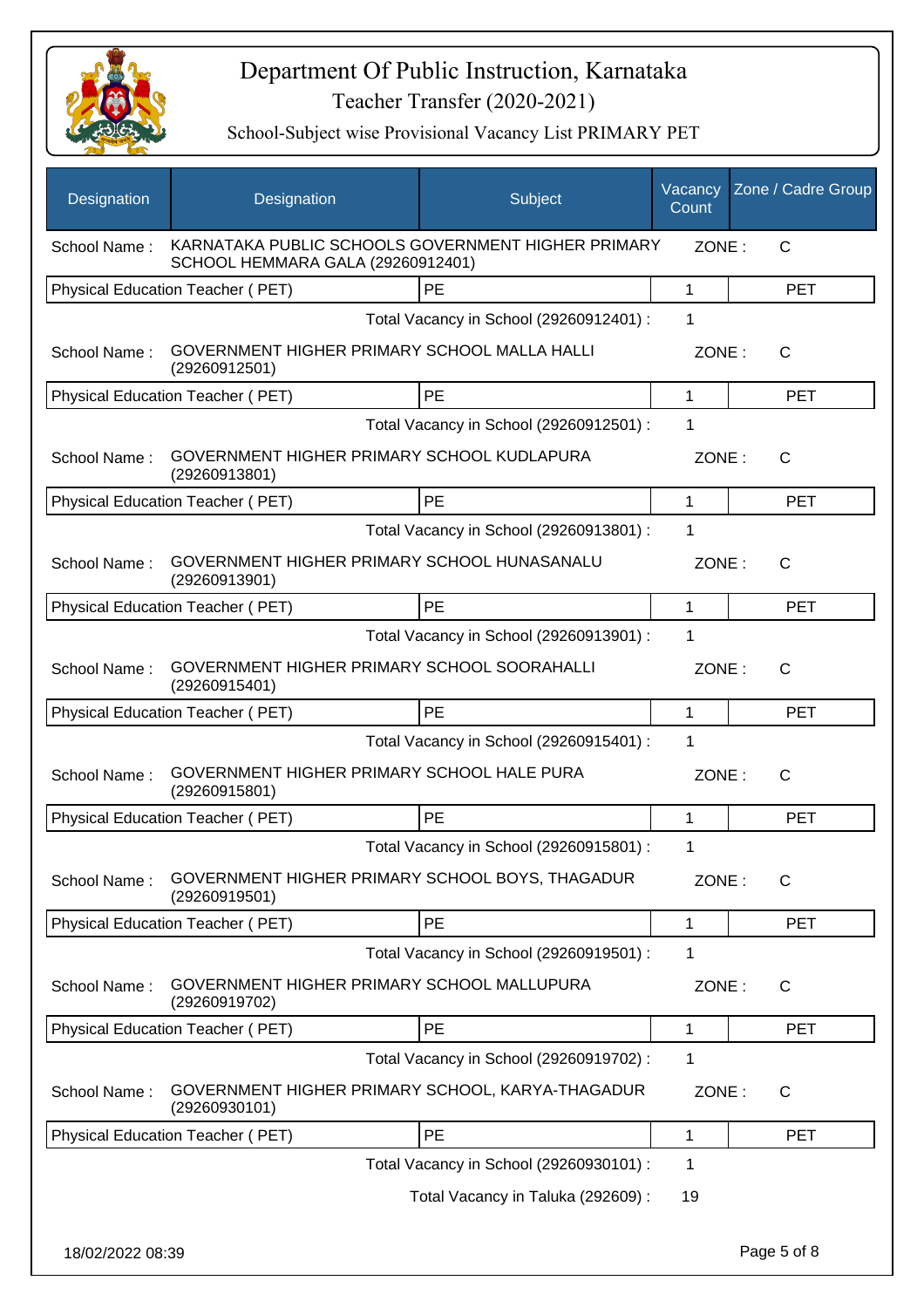

| Designation      | Designation                                                                             | Subject                                 | Vacancy<br>Count | Zone / Cadre Group |
|------------------|-----------------------------------------------------------------------------------------|-----------------------------------------|------------------|--------------------|
| School Name:     | KARNATAKA PUBLIC SCHOOLS GOVERNMENT HIGHER PRIMARY<br>SCHOOL HEMMARA GALA (29260912401) |                                         | ZONE:            | C                  |
|                  | Physical Education Teacher (PET)                                                        | PE                                      | 1                | <b>PET</b>         |
|                  |                                                                                         | Total Vacancy in School (29260912401) : | 1                |                    |
| School Name:     | GOVERNMENT HIGHER PRIMARY SCHOOL MALLA HALLI<br>(29260912501)                           |                                         | ZONE:            | $\mathsf{C}$       |
|                  | Physical Education Teacher (PET)                                                        | PE                                      | 1                | <b>PET</b>         |
|                  |                                                                                         | Total Vacancy in School (29260912501) : | 1                |                    |
| School Name:     | GOVERNMENT HIGHER PRIMARY SCHOOL KUDLAPURA<br>(29260913801)                             |                                         | ZONE:            | C                  |
|                  | Physical Education Teacher (PET)                                                        | PE                                      | 1                | <b>PET</b>         |
|                  |                                                                                         | Total Vacancy in School (29260913801) : | 1                |                    |
| School Name:     | GOVERNMENT HIGHER PRIMARY SCHOOL HUNASANALU<br>(29260913901)                            |                                         | ZONE:            | C                  |
|                  | Physical Education Teacher (PET)                                                        | PE                                      | $\mathbf{1}$     | <b>PET</b>         |
|                  |                                                                                         | Total Vacancy in School (29260913901) : | 1                |                    |
| School Name:     | GOVERNMENT HIGHER PRIMARY SCHOOL SOORAHALLI<br>(29260915401)                            |                                         | ZONE:            | $\mathsf{C}$       |
|                  | Physical Education Teacher (PET)                                                        | PE                                      | 1                | <b>PET</b>         |
|                  |                                                                                         | Total Vacancy in School (29260915401) : | $\mathbf 1$      |                    |
| School Name:     | GOVERNMENT HIGHER PRIMARY SCHOOL HALE PURA<br>(29260915801)                             |                                         | ZONE:            | C                  |
|                  | Physical Education Teacher (PET)                                                        | <b>PE</b>                               | 1                | <b>PET</b>         |
|                  |                                                                                         | Total Vacancy in School (29260915801) : | 1                |                    |
| School Name:     | GOVERNMENT HIGHER PRIMARY SCHOOL BOYS, THAGADUR<br>(29260919501)                        |                                         | ZONE:            | С                  |
|                  | <b>Physical Education Teacher (PET)</b>                                                 | PE                                      | 1                | <b>PET</b>         |
|                  |                                                                                         | Total Vacancy in School (29260919501) : | 1                |                    |
| School Name:     | GOVERNMENT HIGHER PRIMARY SCHOOL MALLUPURA<br>(29260919702)                             |                                         | ZONE:            | $\mathsf{C}$       |
|                  | Physical Education Teacher (PET)                                                        | PE                                      | 1                | <b>PET</b>         |
|                  |                                                                                         | Total Vacancy in School (29260919702) : | 1                |                    |
| School Name:     | GOVERNMENT HIGHER PRIMARY SCHOOL, KARYA-THAGADUR<br>(29260930101)                       |                                         | ZONE:            | C                  |
|                  | Physical Education Teacher (PET)                                                        | PE                                      | 1                | <b>PET</b>         |
|                  |                                                                                         | Total Vacancy in School (29260930101) : | 1                |                    |
|                  |                                                                                         | Total Vacancy in Taluka (292609) :      | 19               |                    |
| 18/02/2022 08:39 |                                                                                         |                                         |                  | Page 5 of 8        |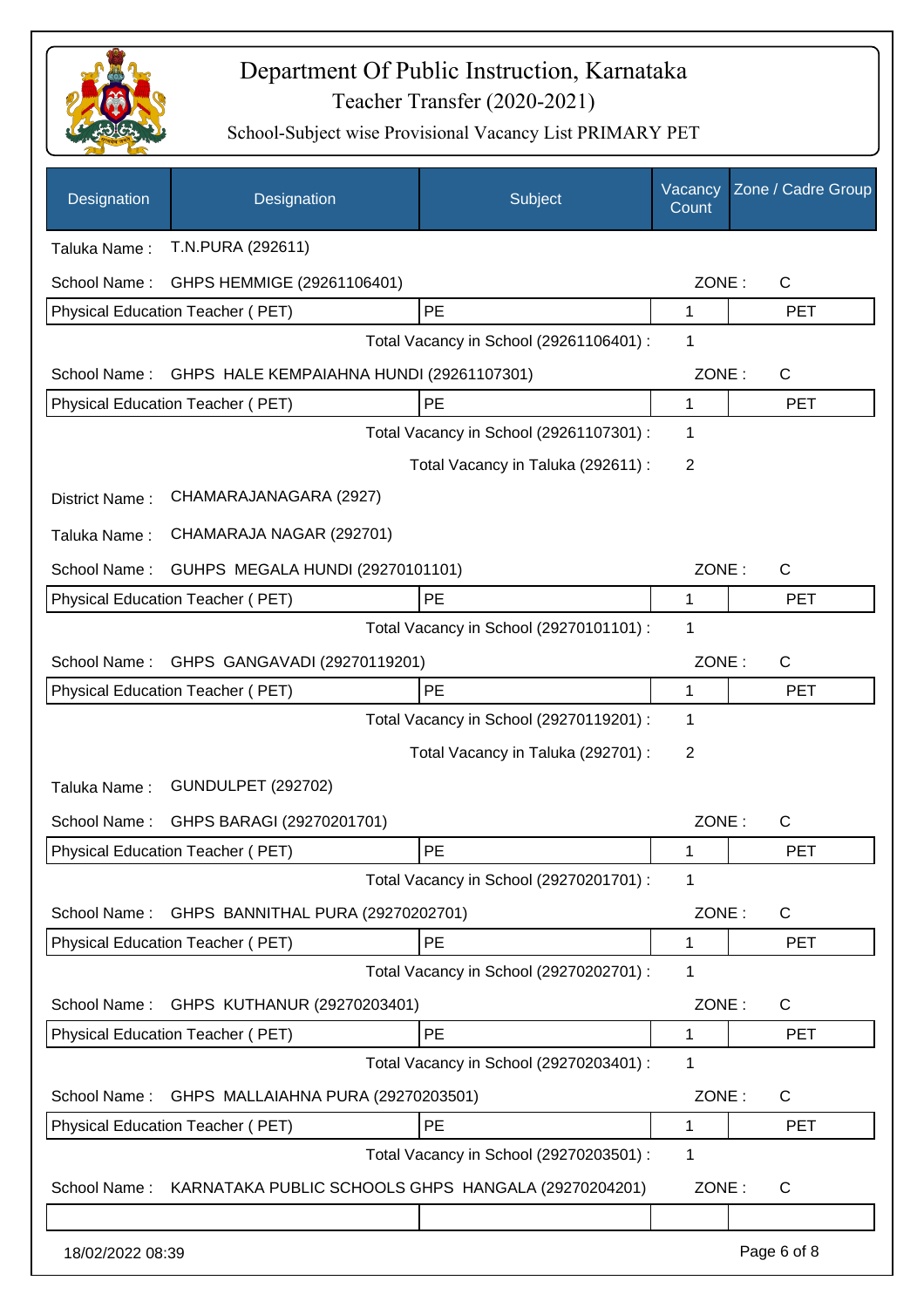

| Designation      | Designation                                         | Subject                                 | Vacancy<br>Count | Zone / Cadre Group |
|------------------|-----------------------------------------------------|-----------------------------------------|------------------|--------------------|
| Taluka Name:     | T.N.PURA (292611)                                   |                                         |                  |                    |
| School Name:     | GHPS HEMMIGE (29261106401)                          |                                         | ZONE:            | C                  |
|                  | Physical Education Teacher (PET)                    | PE                                      | 1                | <b>PET</b>         |
|                  |                                                     | Total Vacancy in School (29261106401) : | 1                |                    |
| School Name:     | GHPS HALE KEMPAIAHNA HUNDI (29261107301)            |                                         | ZONE:            | $\mathsf C$        |
|                  | Physical Education Teacher (PET)                    | PE                                      | 1                | <b>PET</b>         |
|                  |                                                     | Total Vacancy in School (29261107301) : | 1                |                    |
|                  |                                                     | Total Vacancy in Taluka (292611) :      | 2                |                    |
| District Name:   | CHAMARAJANAGARA (2927)                              |                                         |                  |                    |
| Taluka Name:     | CHAMARAJA NAGAR (292701)                            |                                         |                  |                    |
| School Name:     | GUHPS MEGALA HUNDI (29270101101)                    |                                         | ZONE:            | $\mathsf C$        |
|                  | <b>Physical Education Teacher (PET)</b>             | PE                                      | 1                | <b>PET</b>         |
|                  |                                                     | Total Vacancy in School (29270101101) : | 1                |                    |
| School Name:     | GHPS GANGAVADI (29270119201)                        |                                         | ZONE:            | C                  |
|                  | Physical Education Teacher (PET)                    | PE                                      | 1                | <b>PET</b>         |
|                  |                                                     | Total Vacancy in School (29270119201) : | 1                |                    |
|                  |                                                     | Total Vacancy in Taluka (292701) :      | 2                |                    |
| Taluka Name:     | <b>GUNDULPET (292702)</b>                           |                                         |                  |                    |
| School Name:     | GHPS BARAGI (29270201701)                           |                                         | ZONE:            | C                  |
|                  | Physical Education Teacher (PET)                    | PE                                      | 1                | PET                |
|                  |                                                     | Total Vacancy in School (29270201701) : | 1                |                    |
| School Name:     | GHPS BANNITHAL PURA (29270202701)                   |                                         | ZONE:            | C                  |
|                  | <b>Physical Education Teacher (PET)</b>             | PE                                      | 1                | <b>PET</b>         |
|                  |                                                     | Total Vacancy in School (29270202701) : | 1                |                    |
| School Name:     | GHPS KUTHANUR (29270203401)                         |                                         | ZONE:            | C                  |
|                  | Physical Education Teacher (PET)                    | PE                                      | 1                | <b>PET</b>         |
|                  |                                                     | Total Vacancy in School (29270203401) : | 1                |                    |
| School Name:     | GHPS MALLAIAHNA PURA (29270203501)                  |                                         | ZONE:            | C                  |
|                  | Physical Education Teacher (PET)                    | PE                                      | 1                | <b>PET</b>         |
|                  |                                                     | Total Vacancy in School (29270203501) : | 1                |                    |
| School Name:     | KARNATAKA PUBLIC SCHOOLS GHPS HANGALA (29270204201) |                                         | ZONE:            | C                  |
|                  |                                                     |                                         |                  |                    |
| 18/02/2022 08:39 |                                                     |                                         |                  | Page 6 of 8        |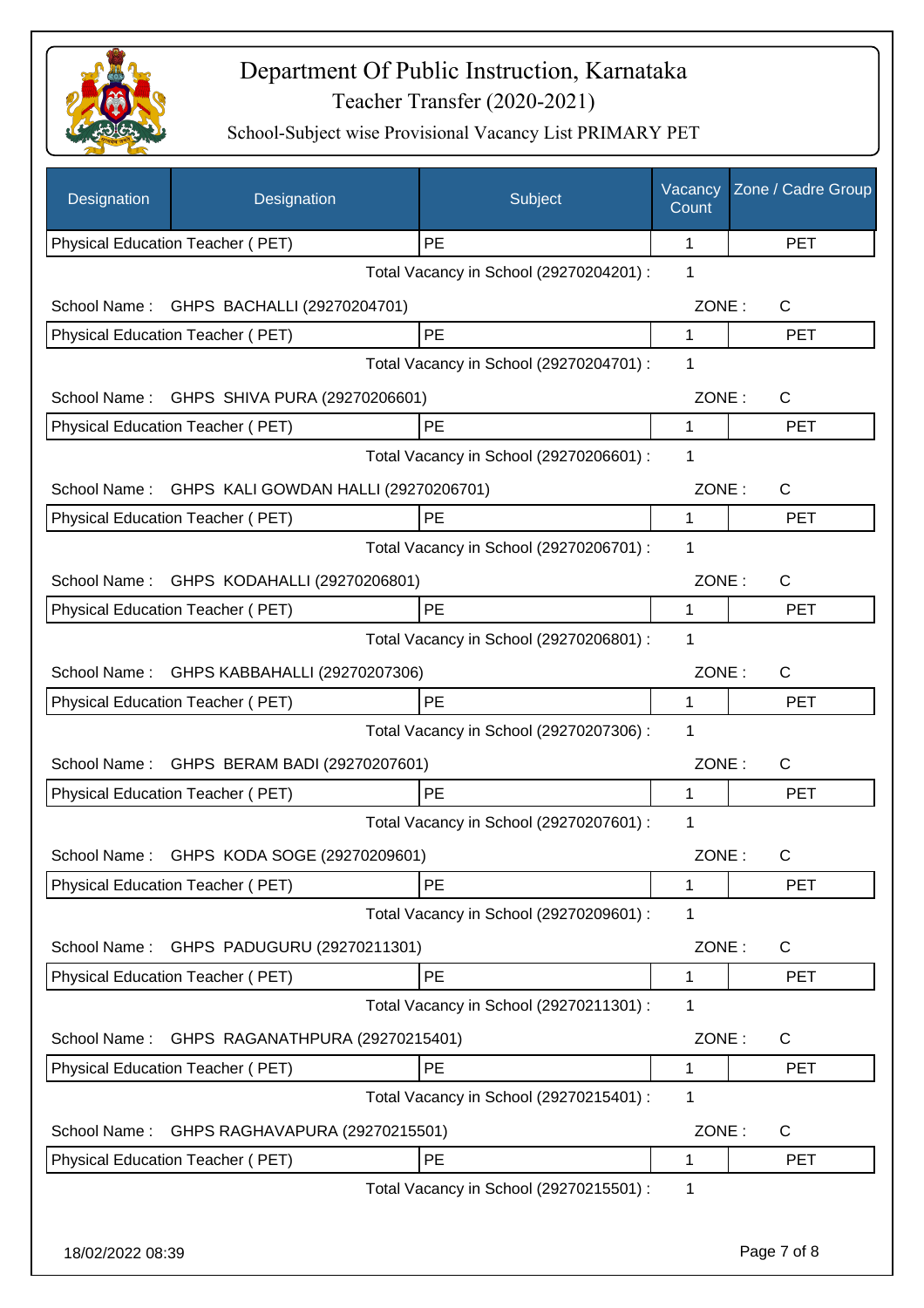

| Designation      | Designation                                | Subject                                 | Vacancy<br>Count | Zone / Cadre Group |
|------------------|--------------------------------------------|-----------------------------------------|------------------|--------------------|
|                  | Physical Education Teacher (PET)           | PE                                      | 1                | <b>PET</b>         |
|                  |                                            | Total Vacancy in School (29270204201) : | 1                |                    |
| School Name:     | GHPS BACHALLI (29270204701)                |                                         | ZONE:            | C                  |
|                  | Physical Education Teacher (PET)           | PE                                      | 1                | <b>PET</b>         |
|                  |                                            | Total Vacancy in School (29270204701) : | 1                |                    |
| School Name:     | GHPS SHIVA PURA (29270206601)              |                                         | ZONE:            | $\mathsf{C}$       |
|                  | Physical Education Teacher (PET)           | PE                                      | 1                | <b>PET</b>         |
|                  |                                            | Total Vacancy in School (29270206601) : | 1                |                    |
| School Name:     | GHPS KALI GOWDAN HALLI (29270206701)       |                                         | ZONE:            | C                  |
|                  | Physical Education Teacher (PET)           | PE                                      | 1                | <b>PET</b>         |
|                  |                                            | Total Vacancy in School (29270206701) : | 1                |                    |
|                  | School Name: GHPS KODAHALLI (29270206801)  |                                         | ZONE:            | $\mathsf{C}$       |
|                  | Physical Education Teacher (PET)           | PE                                      | 1                | <b>PET</b>         |
|                  |                                            | Total Vacancy in School (29270206801) : | 1                |                    |
|                  | School Name: GHPS KABBAHALLI (29270207306) |                                         | ZONE:            | $\mathsf{C}$       |
|                  | Physical Education Teacher (PET)           | PE                                      | $\mathbf{1}$     | <b>PET</b>         |
|                  |                                            | Total Vacancy in School (29270207306) : | 1                |                    |
| School Name:     | GHPS BERAM BADI (29270207601)              |                                         | ZONE:            | $\mathsf{C}$       |
|                  | <b>Physical Education Teacher (PET)</b>    | <b>PE</b>                               | 1                | <b>PET</b>         |
|                  |                                            | Total Vacancy in School (29270207601) : | 1                |                    |
|                  |                                            |                                         |                  |                    |
|                  | School Name: GHPS KODA SOGE (29270209601)  | PE                                      | ZONE:            | C                  |
|                  | Physical Education Teacher (PET)           | Total Vacancy in School (29270209601) : | 1<br>1           | <b>PET</b>         |
|                  |                                            |                                         |                  |                    |
| School Name:     | GHPS PADUGURU (29270211301)                |                                         | ZONE:            | C                  |
|                  | Physical Education Teacher (PET)           | PE                                      | 1                | <b>PET</b>         |
|                  |                                            | Total Vacancy in School (29270211301) : | 1                |                    |
| School Name:     | GHPS RAGANATHPURA (29270215401)            |                                         | ZONE:            | C                  |
|                  | Physical Education Teacher (PET)           | PE                                      | $\mathbf{1}$     | <b>PET</b>         |
|                  |                                            | Total Vacancy in School (29270215401) : | 1                |                    |
| School Name:     | GHPS RAGHAVAPURA (29270215501)             |                                         | ZONE:            | $\mathsf{C}$       |
|                  | Physical Education Teacher (PET)           | PE                                      | 1                | <b>PET</b>         |
|                  |                                            | Total Vacancy in School (29270215501) : | 1                |                    |
|                  |                                            |                                         |                  |                    |
| 18/02/2022 08:39 |                                            |                                         |                  | Page 7 of 8        |